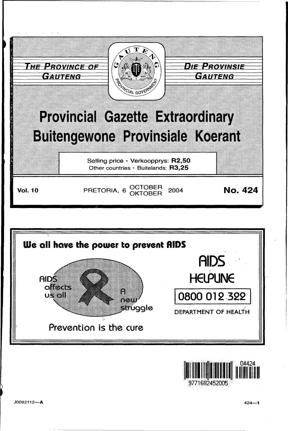





J0092112-A

 $424 - 1$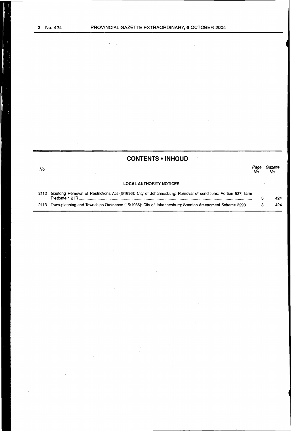$\ddot{\phantom{a}}$ 

 $\sim$   $\sim$ 

 $\lambda = \frac{1}{2}$ 

## **CONTENTS •INHOUD**

| No.  |                                                                                                                                              | Page<br>No. | Gazette<br>No. |
|------|----------------------------------------------------------------------------------------------------------------------------------------------|-------------|----------------|
|      | <b>LOCAL AUTHORITY NOTICES</b>                                                                                                               |             |                |
|      | 2112 Gauteng Removal of Restrictions Act (3/1996): City of Johannesburg: Removal of conditions: Portion 537, farm<br><b>Rietfontein 2 IR</b> |             | 424            |
| 2113 | Town-planning and Townships Ordinance (15/1986): City of Johannesburg: Sandton Amendment Scheme 3293                                         |             | 424            |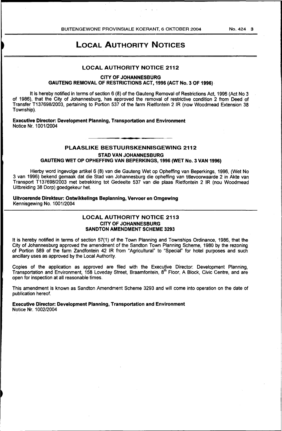# LOCAL AUTHORITY NOTICES

#### LOCAL AUTHORITY NOTICE 2112

CITY OF JOHANNESBURG GAUTENG REMOVAL OF RESTRICTIONS ACT, 1996 (ACT No.3 OF 1996)

It is hereby notified in terms of section 6 (8) of the Gauteng Removal of Restrictions Act, 1996 (Act No 3 of 1986), that the City of Johannesburg, has approved the removal of restrictive condition 2 from Deed of Transfer T137698/2003, pertaining to Portion 537 of the farm Rietfontein 2 IR (now Woodmead Extension 38 Township).

Executive Director: Development Planning, Transportation and Environment Notice Nr. 1001/2004

PLAASLIKE BESTUURSKENNISGEWING 2112

STAD VAN JOHANNESBURG

GAUTENG WET OP OPHEFFING VAN BEPERKINGS, 1996 (WET No.3 VAN 1996)

Hierby word ingevolge artikel 6 (8) van die Gauteng Wet op Opheffing van Beperkings, 1996, (Wet No 3 van 1996) bekend gemaak dat die Stad van Johannesburg die opheffing van titlevoorwaarde 2 in Akte van Transport T137698/2003 met betrekking tot Gedeelte 537 van die plaas Rietfontein 2 IR (nou Woodmead Uitbreiding 38 Dorp) goedgekeur het.

Uitvoerende Direkteur: Ontwikkelings Beplanning, Vervoer en Omgewing Kennisgewing No. 1001/2004

#### LOCAL AUTHORITY NOTICE 2113 CITY OF JOHANNESBURG SANDTON AMENDMENT SCHEME 3293

It is hereby notified in terms of section 57(1) of the Town Planning and Townships Ordinance, 1986, that the City of Johannesburg approved the amendment of the Sandton Town Planning Scheme, 1980 by the rezoning of Portion 589 of the farm Zandfontein 42 IR from "Agricultural" to "Special" for hotel purposes and such ancillary uses as approved by the Local Authority.

Copies of the application as approved are filed with the Executive Director: Development Planning, Transportation and Environment, 158 Loveday Street, Braamfontein, 8<sup>th</sup> Floor, A Block, Civic Centre, and are open for inspection at all reasonable times.

This amendment is known as Sandton Amendment Scheme 3293 and will come into operation on the date of publication hereof.

Executive Director: Development Planning, Transportation and Environment Notice Nr. 1002/2004